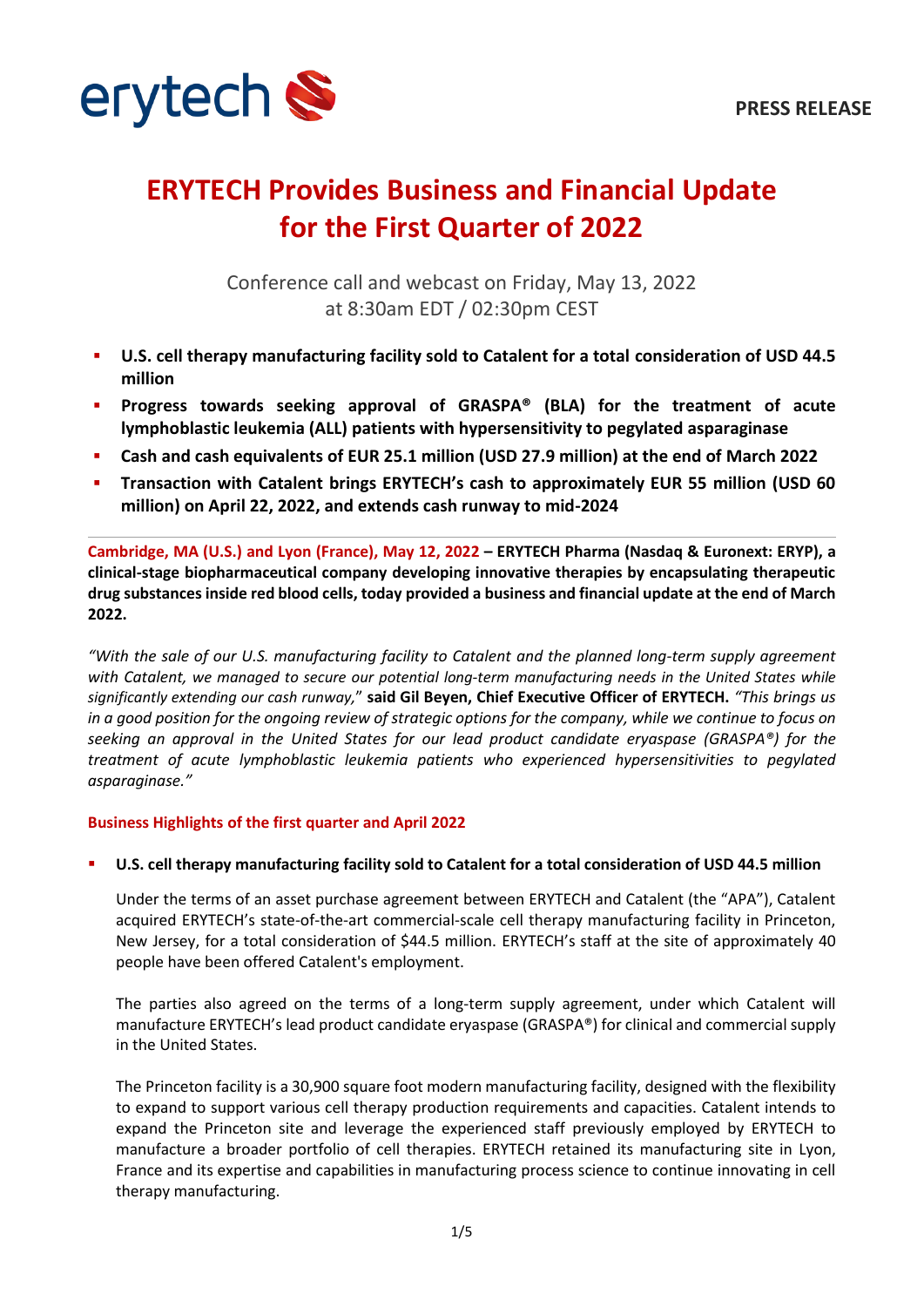

# **ERYTECH Provides Business and Financial Update for the First Quarter of 2022**

Conference call and webcast on Friday, May 13, 2022 at 8:30am EDT / 02:30pm CEST

- **U.S. cell therapy manufacturing facility sold to Catalent for a total consideration of USD 44.5 million**
- **Progress towards seeking approval of GRASPA® (BLA) for the treatment of acute lymphoblastic leukemia (ALL) patients with hypersensitivity to pegylated asparaginase**
- **Cash and cash equivalents of EUR 25.1 million (USD 27.9 million) at the end of March 2022**
- **Transaction with Catalent brings ERYTECH's cash to approximately EUR 55 million (USD 60 million) on April 22, 2022, and extends cash runway to mid-2024**

**Cambridge, MA (U.S.) and Lyon (France), May 12, 2022 – ERYTECH Pharma (Nasdaq & Euronext: ERYP), a clinical-stage biopharmaceutical company developing innovative therapies by encapsulating therapeutic drug substances inside red blood cells, today provided a business and financial update at the end of March 2022.**

*"With the sale of our U.S. manufacturing facility to Catalent and the planned long-term supply agreement with Catalent, we managed to secure our potential long-term manufacturing needs in the United States while significantly extending our cash runway,*" **said Gil Beyen, Chief Executive Officer of ERYTECH.** *"This brings us in a good position for the ongoing review of strategic options for the company, while we continue to focus on seeking an approval in the United States for our lead product candidate eryaspase (GRASPA®) for the treatment of acute lymphoblastic leukemia patients who experienced hypersensitivities to pegylated asparaginase."*

## **Business Highlights of the first quarter and April 2022**

## ▪ **U.S. cell therapy manufacturing facility sold to Catalent for a total consideration of USD 44.5 million**

Under the terms of an asset purchase agreement between ERYTECH and Catalent (the "APA"), Catalent acquired ERYTECH's state-of-the-art commercial-scale cell therapy manufacturing facility in Princeton, New Jersey, for a total consideration of \$44.5 million. ERYTECH's staff at the site of approximately 40 people have been offered Catalent's employment.

The parties also agreed on the terms of a long-term supply agreement, under which Catalent will manufacture ERYTECH's lead product candidate eryaspase (GRASPA®) for clinical and commercial supply in the United States.

The Princeton facility is a 30,900 square foot modern manufacturing facility, designed with the flexibility to expand to support various cell therapy production requirements and capacities. Catalent intends to expand the Princeton site and leverage the experienced staff previously employed by ERYTECH to manufacture a broader portfolio of cell therapies. ERYTECH retained its manufacturing site in Lyon, France and its expertise and capabilities in manufacturing process science to continue innovating in cell therapy manufacturing.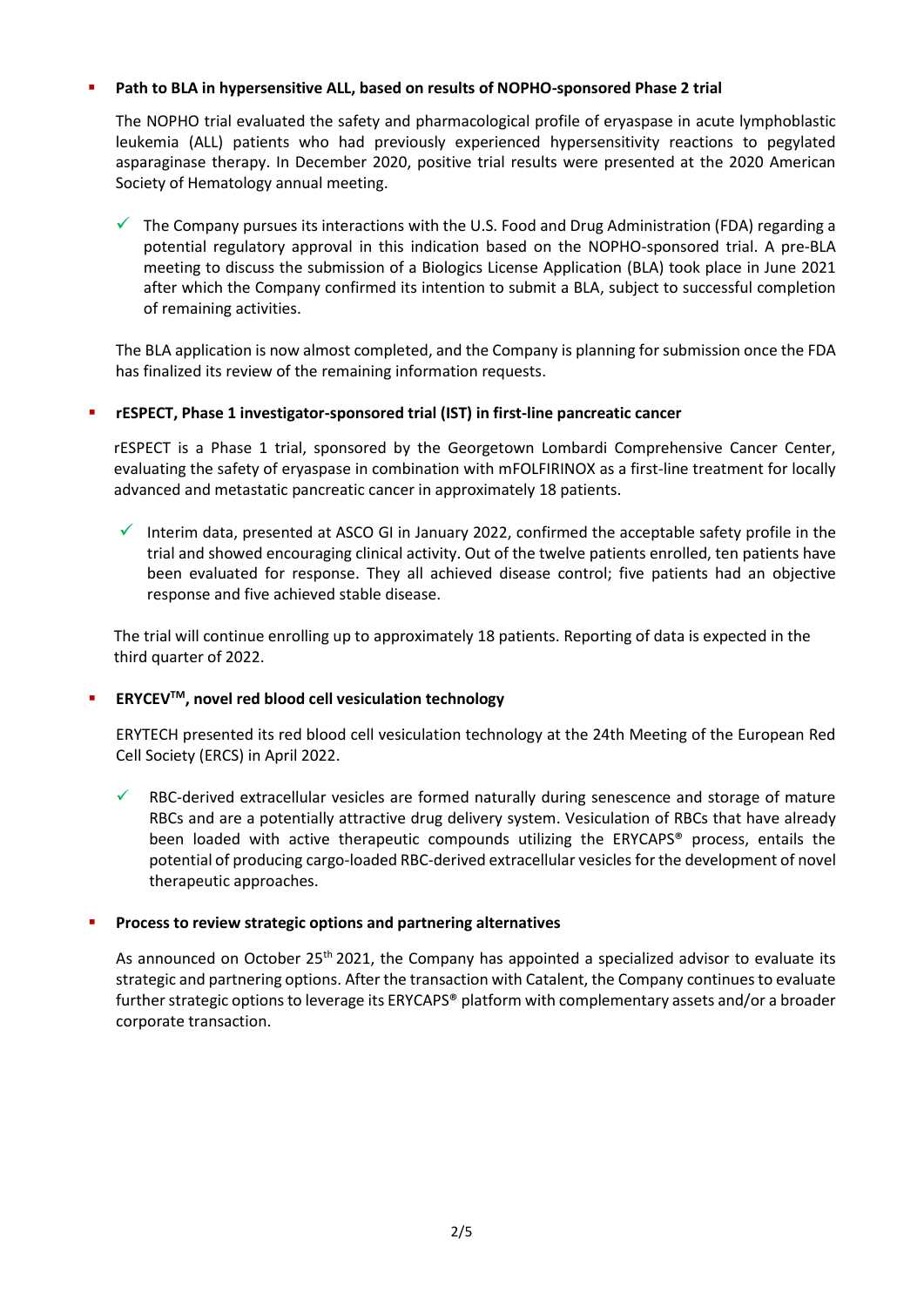# Path to BLA in hypersensitive ALL, based on results of NOPHO-sponsored Phase 2 trial

The NOPHO trial evaluated the safety and pharmacological profile of eryaspase in acute lymphoblastic leukemia (ALL) patients who had previously experienced hypersensitivity reactions to pegylated asparaginase therapy. In December 2020, positive trial results were presented at the 2020 American Society of Hematology annual meeting.

 $\checkmark$  The Company pursues its interactions with the U.S. Food and Drug Administration (FDA) regarding a potential regulatory approval in this indication based on the NOPHO-sponsored trial. A pre-BLA meeting to discuss the submission of a Biologics License Application (BLA) took place in June 2021 after which the Company confirmed its intention to submit a BLA, subject to successful completion of remaining activities.

The BLA application is now almost completed, and the Company is planning for submission once the FDA has finalized its review of the remaining information requests.

# ▪ **rESPECT, Phase 1 investigator-sponsored trial (IST) in first-line pancreatic cancer**

rESPECT is a Phase 1 trial, sponsored by the Georgetown Lombardi Comprehensive Cancer Center, evaluating the safety of eryaspase in combination with mFOLFIRINOX as a first-line treatment for locally advanced and metastatic pancreatic cancer in approximately 18 patients.

Interim data, presented at ASCO GI in January 2022, confirmed the acceptable safety profile in the trial and showed encouraging clinical activity. Out of the twelve patients enrolled, ten patients have been evaluated for response. They all achieved disease control; five patients had an objective response and five achieved stable disease.

The trial will continue enrolling up to approximately 18 patients. Reporting of data is expected in the third quarter of 2022.

# ▪ **ERYCEVTM, novel red blood cell vesiculation technology**

ERYTECH presented its red blood cell vesiculation technology at the 24th Meeting of the European Red Cell Society (ERCS) in April 2022.

RBC-derived extracellular vesicles are formed naturally during senescence and storage of mature RBCs and are a potentially attractive drug delivery system. Vesiculation of RBCs that have already been loaded with active therapeutic compounds utilizing the ERYCAPS<sup>®</sup> process, entails the potential of producing cargo-loaded RBC-derived extracellular vesicles for the development of novel therapeutic approaches.

## ▪ **Process to review strategic options and partnering alternatives**

As announced on October 25<sup>th</sup> 2021, the Company has appointed a specialized advisor to evaluate its strategic and partnering options. After the transaction with Catalent, the Company continues to evaluate further strategic options to leverage its ERYCAPS® platform with complementary assets and/or a broader corporate transaction.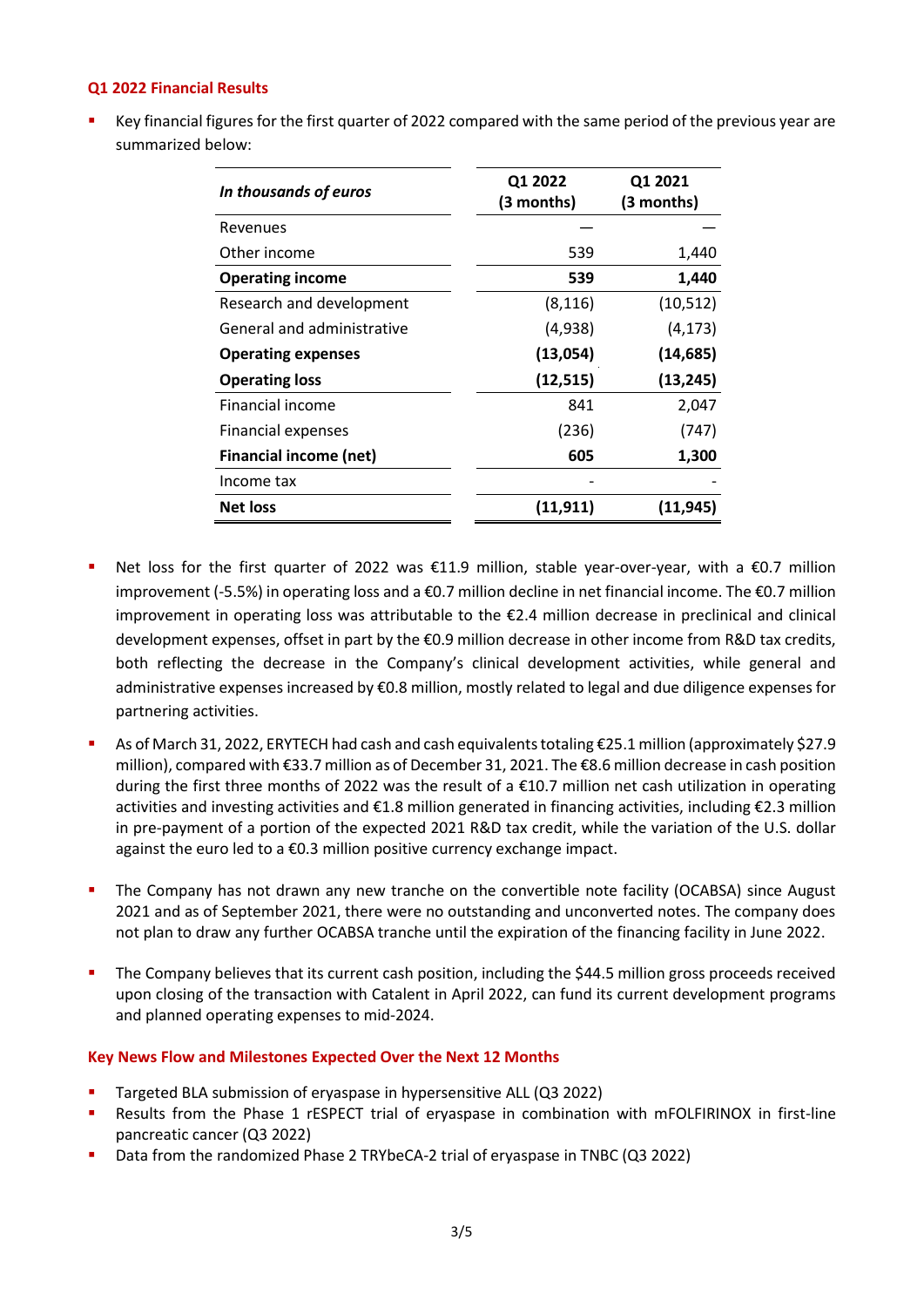## **Q1 2022 Financial Results**

Key financial figures for the first quarter of 2022 compared with the same period of the previous year are summarized below:

| In thousands of euros         | Q1 2022<br>(3 months) | Q1 2021<br>(3 months) |
|-------------------------------|-----------------------|-----------------------|
| Revenues                      |                       |                       |
| Other income                  | 539                   | 1,440                 |
| <b>Operating income</b>       | 539                   | 1,440                 |
| Research and development      | (8, 116)              | (10,512)              |
| General and administrative    | (4,938)               | (4, 173)              |
| <b>Operating expenses</b>     | (13,054)              | (14, 685)             |
| <b>Operating loss</b>         | (12, 515)             | (13, 245)             |
| Financial income              | 841                   | 2,047                 |
| <b>Financial expenses</b>     | (236)                 | (747)                 |
| <b>Financial income (net)</b> | 605                   | 1,300                 |
| Income tax                    |                       |                       |
| <b>Net loss</b>               | (11, 911)             | (11, 945)             |

- Net loss for the first quarter of 2022 was €11.9 million, stable year-over-year, with a €0.7 million improvement (-5.5%) in operating loss and a €0.7 million decline in net financial income. The €0.7 million improvement in operating loss was attributable to the €2.4 million decrease in preclinical and clinical development expenses, offset in part by the €0.9 million decrease in other income from R&D tax credits, both reflecting the decrease in the Company's clinical development activities, while general and administrative expenses increased by €0.8 million, mostly related to legal and due diligence expenses for partnering activities.
- As of March 31, 2022, ERYTECH had cash and cash equivalents totaling €25.1 million (approximately \$27.9 million), compared with €33.7 million as of December 31, 2021. The €8.6 million decrease in cash position during the first three months of 2022 was the result of a €10.7 million net cash utilization in operating activities and investing activities and €1.8 million generated in financing activities, including €2.3 million in pre-payment of a portion of the expected 2021 R&D tax credit, while the variation of the U.S. dollar against the euro led to a €0.3 million positive currency exchange impact.
- The Company has not drawn any new tranche on the convertible note facility (OCABSA) since August 2021 and as of September 2021, there were no outstanding and unconverted notes. The company does not plan to draw any further OCABSA tranche until the expiration of the financing facility in June 2022.
- The Company believes that its current cash position, including the \$44.5 million gross proceeds received upon closing of the transaction with Catalent in April 2022, can fund its current development programs and planned operating expenses to mid-2024.

## **Key News Flow and Milestones Expected Over the Next 12 Months**

- Targeted BLA submission of eryaspase in hypersensitive ALL (Q3 2022)
- Results from the Phase 1 rESPECT trial of eryaspase in combination with mFOLFIRINOX in first-line pancreatic cancer (Q3 2022)
- Data from the randomized Phase 2 TRYbeCA-2 trial of eryaspase in TNBC (Q3 2022)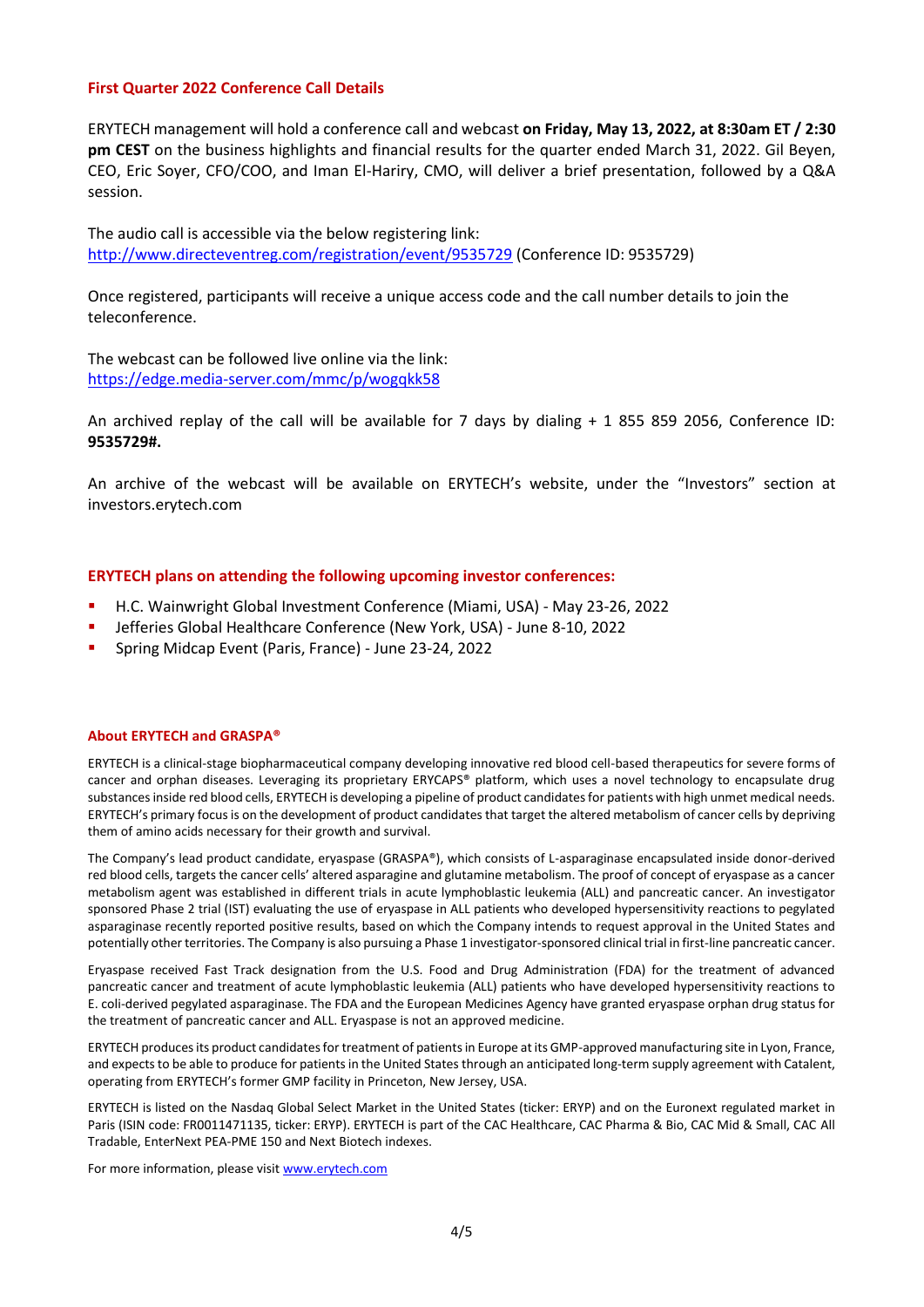#### **First Quarter 2022 Conference Call Details**

ERYTECH management will hold a conference call and webcast **on Friday, May 13, 2022, at 8:30am ET / 2:30 pm CEST** on the business highlights and financial results for the quarter ended March 31, 2022. Gil Beyen, CEO, Eric Soyer, CFO/COO, and Iman El-Hariry, CMO, will deliver a brief presentation, followed by a Q&A session.

The audio call is accessible via the below registering link: <http://www.directeventreg.com/registration/event/9535729> (Conference ID: 9535729)

Once registered, participants will receive a unique access code and the call number details to join the teleconference.

The webcast can be followed live online via the link: <https://edge.media-server.com/mmc/p/wogqkk58>

An archived replay of the call will be available for 7 days by dialing + 1 855 859 2056, Conference ID: **9535729#.**

An archive of the webcast will be available on ERYTECH's website, under the "Investors" section at investors.erytech.com

#### **ERYTECH plans on attending the following upcoming investor conferences:**

- H.C. Wainwright Global Investment Conference (Miami, USA) May 23-26, 2022
- Jefferies Global Healthcare Conference (New York, USA) June 8-10, 2022
- Spring Midcap Event (Paris, France) June 23-24, 2022

#### **About ERYTECH and GRASPA®**

ERYTECH is a clinical-stage biopharmaceutical company developing innovative red blood cell-based therapeutics for severe forms of cancer and orphan diseases. Leveraging its proprietary ERYCAPS® platform, which uses a novel technology to encapsulate drug substances inside red blood cells, ERYTECH is developing a pipeline of product candidates for patients with high unmet medical needs. ERYTECH's primary focus is on the development of product candidates that target the altered metabolism of cancer cells by depriving them of amino acids necessary for their growth and survival.

The Company's lead product candidate, eryaspase (GRASPA®), which consists of L-asparaginase encapsulated inside donor-derived red blood cells, targets the cancer cells' altered asparagine and glutamine metabolism. The proof of concept of eryaspase as a cancer metabolism agent was established in different trials in acute lymphoblastic leukemia (ALL) and pancreatic cancer. An investigator sponsored Phase 2 trial (IST) evaluating the use of eryaspase in ALL patients who developed hypersensitivity reactions to pegylated asparaginase recently reported positive results, based on which the Company intends to request approval in the United States and potentially other territories. The Company is also pursuing a Phase 1 investigator-sponsored clinical trial in first-line pancreatic cancer.

Eryaspase received Fast Track designation from the U.S. Food and Drug Administration (FDA) for the treatment of advanced pancreatic cancer and treatment of acute lymphoblastic leukemia (ALL) patients who have developed hypersensitivity reactions to E. coli-derived pegylated asparaginase. The FDA and the European Medicines Agency have granted eryaspase orphan drug status for the treatment of pancreatic cancer and ALL. Eryaspase is not an approved medicine.

ERYTECH produces its product candidates for treatment of patients in Europe at its GMP-approved manufacturing site in Lyon, France, and expects to be able to produce for patients in the United States through an anticipated long-term supply agreement with Catalent, operating from ERYTECH's former GMP facility in Princeton, New Jersey, USA.

ERYTECH is listed on the Nasdaq Global Select Market in the United States (ticker: ERYP) and on the Euronext regulated market in Paris (ISIN code: FR0011471135, ticker: ERYP). ERYTECH is part of the CAC Healthcare, CAC Pharma & Bio, CAC Mid & Small, CAC All Tradable, EnterNext PEA-PME 150 and Next Biotech indexes.

For more information, please visi[t www.erytech.com](http://www.erytech.com/)